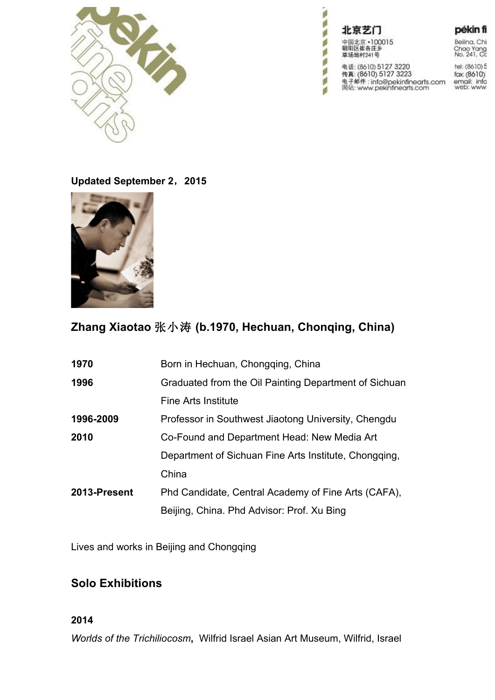

北京艺门 中国北京 • 100015 朝阳区崔各庄乡<br>草场地村241号 电话: (8610) 5127 3220<br>传真: (8610) 5127 3223<br>电子邮件 : info@pekinfinearts.com<br>网站: www.pekinfinearts.com

**PART** 

ð ä

p ø

ø

ø a pékin fi

Beiling, Chi Chao Yang<br>No. 241, Co

tel: (8610) 5 fax: (8610)<br>email: info<br>web: www.

**Updated September 2**,**2015**



# **Zhang Xiaotao** 张小涛 **(b.1970, Hechuan, Chonqing, China)**

| 1970         | Born in Hechuan, Chongqing, China                     |
|--------------|-------------------------------------------------------|
| 1996         | Graduated from the Oil Painting Department of Sichuan |
|              | <b>Fine Arts Institute</b>                            |
| 1996-2009    | Professor in Southwest Jiaotong University, Chengdu   |
| 2010         | Co-Found and Department Head: New Media Art           |
|              | Department of Sichuan Fine Arts Institute, Chongqing, |
|              | China                                                 |
| 2013-Present | Phd Candidate, Central Academy of Fine Arts (CAFA),   |
|              | Beijing, China. Phd Advisor: Prof. Xu Bing            |

Lives and works in Beijing and Chongqing

# **Solo Exhibitions**

### **2014**

*Worlds of the Trichiliocosm***,** Wilfrid Israel Asian Art Museum, Wilfrid, Israel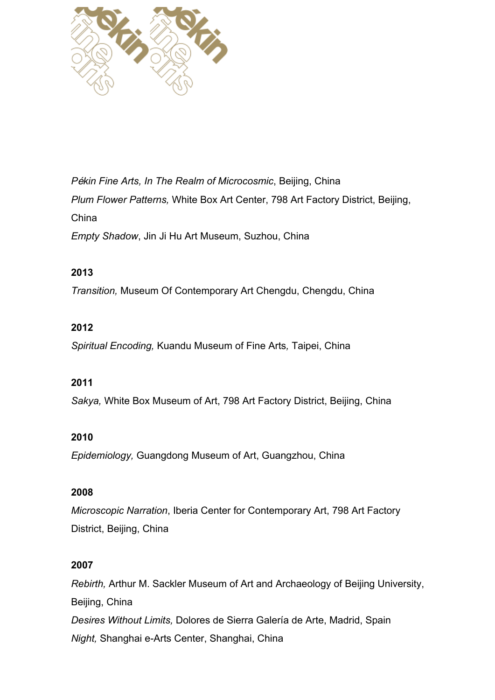

*P*é*kin Fine Arts, In The Realm of Microcosmic*, Beijing, China *Plum Flower Patterns,* White Box Art Center, 798 Art Factory District, Beijing, China *Empty Shadow*, Jin Ji Hu Art Museum, Suzhou, China

### **2013**

*Transition,* Museum Of Contemporary Art Chengdu, Chengdu, China

### **2012**

*Spiritual Encoding,* Kuandu Museum of Fine Arts*,* Taipei, China

#### **2011**

*Sakya,* White Box Museum of Art, 798 Art Factory District, Beijing, China

#### **2010**

*Epidemiology,* Guangdong Museum of Art, Guangzhou, China

## **2008**

*Microscopic Narration*, Iberia Center for Contemporary Art, 798 Art Factory District, Beijing, China

#### **2007**

*Rebirth,* Arthur M. Sackler Museum of Art and Archaeology of Beijing University, Beijing, China *Desires Without Limits,* Dolores de Sierra Galería de Arte, Madrid, Spain *Night,* Shanghai e-Arts Center, Shanghai, China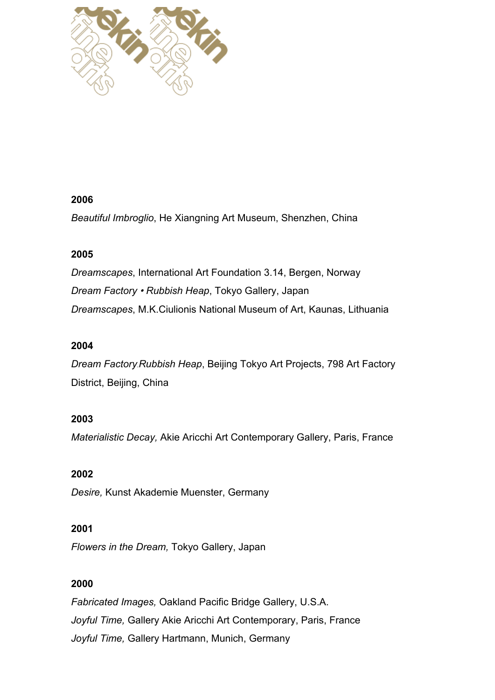

#### **2006**

*Beautiful Imbroglio*, He Xiangning Art Museum, Shenzhen, China

# **2005**

*Dreamscapes*, International Art Foundation 3.14, Bergen, Norway *Dream Factory* • *Rubbish Heap*, Tokyo Gallery, Japan *Dreamscapes*, M.K.Ciulionis National Museum of Art, Kaunas, Lithuania

## **2004**

*Dream Factory*﹒*Rubbish Heap*, Beijing Tokyo Art Projects, 798 Art Factory District, Beijing, China

# **2003**

*Materialistic Decay,* Akie Aricchi Art Contemporary Gallery, Paris, France

# **2002**

*Desire,* Kunst Akademie Muenster, Germany

#### **2001**

*Flowers in the Dream,* Tokyo Gallery, Japan

# **2000**

*Fabricated Images,* Oakland Pacific Bridge Gallery, U.S.A. *Joyful Time,* Gallery Akie Aricchi Art Contemporary, Paris, France *Joyful Time,* Gallery Hartmann, Munich, Germany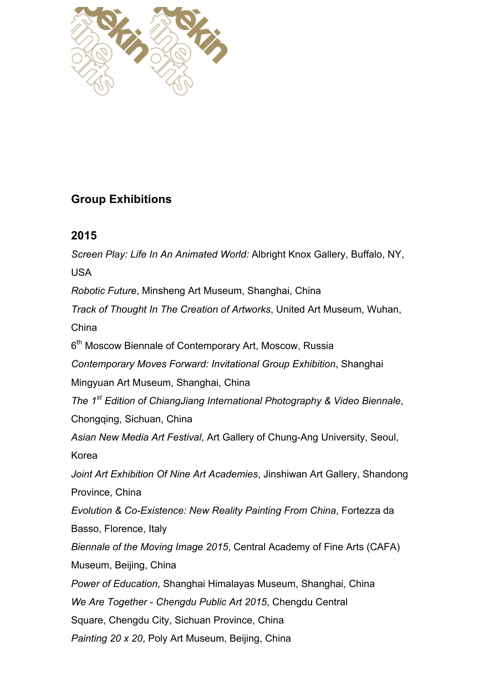

# **Group Exhibitions**

# **2015**

*Screen Play: Life In An Animated World:* Albright Knox Gallery, Buffalo, NY, USA *Robotic Future*, Minsheng Art Museum, Shanghai, China *Track of Thought In The Creation of Artworks*, United Art Museum, Wuhan, China 6<sup>th</sup> Moscow Biennale of Contemporary Art, Moscow, Russia *Contemporary Moves Forward: Invitational Group Exhibition*, Shanghai Mingyuan Art Museum, Shanghai, China *The 1st Edition of ChiangJiang International Photography & Video Biennale*, Chongqing, Sichuan, China *Asian New Media Art Festival*, Art Gallery of Chung-Ang University, Seoul, Korea *Joint Art Exhibition Of Nine Art Academies*, Jinshiwan Art Gallery, Shandong Province, China *Evolution & Co-Existence: New Reality Painting From China*, Fortezza da Basso, Florence, Italy *Biennale of the Moving Image 2015*, Central Academy of Fine Arts (CAFA) Museum, Beijing, China *Power of Education*, Shanghai Himalayas Museum, Shanghai, China *We Are Together* - *Chengdu Public Art 2015*, Chengdu Central Square, Chengdu City, Sichuan Province, China *Painting 20 x 20*, Poly Art Museum, Beijing, China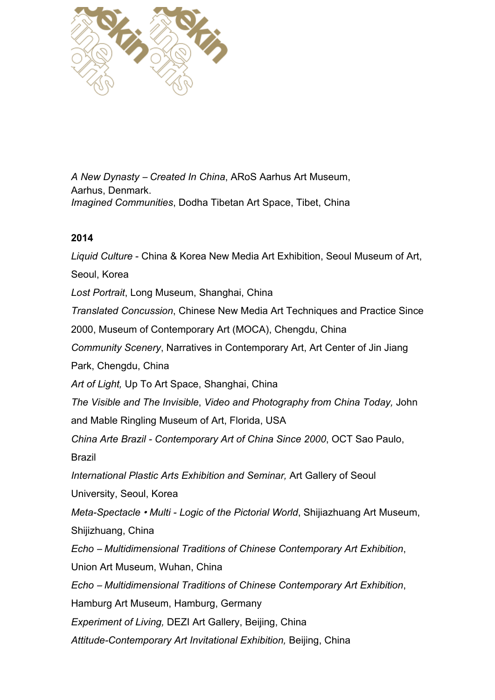

*A New Dynasty* – *Created In China*, ARoS Aarhus Art Museum, Aarhus, Denmark. *Imagined Communities*, Dodha Tibetan Art Space, Tibet, China

### **2014**

*Liquid Culture* - China & Korea New Media Art Exhibition, Seoul Museum of Art, Seoul, Korea *Lost Portrait*, Long Museum, Shanghai, China *Translated Concussion*, Chinese New Media Art Techniques and Practice Since 2000, Museum of Contemporary Art (MOCA), Chengdu, China *Community Scenery*, Narratives in Contemporary Art, Art Center of Jin Jiang Park, Chengdu, China *Art of Light,* Up To Art Space, Shanghai, China *The Visible and The Invisible*, *Video and Photography from China Today,* John and Mable Ringling Museum of Art, Florida, USA *China Arte Brazil - Contemporary Art of China Since 2000*, OCT Sao Paulo, Brazil *International Plastic Arts Exhibition and Seminar,* Art Gallery of Seoul University, Seoul, Korea *Meta-Spectacle* • *Multi - Logic of the Pictorial World*, Shijiazhuang Art Museum, Shijizhuang, China *Echo* – *Multidimensional Traditions of Chinese Contemporary Art Exhibition*, Union Art Museum, Wuhan, China *Echo* – *Multidimensional Traditions of Chinese Contemporary Art Exhibition*, Hamburg Art Museum, Hamburg, Germany *Experiment of Living,* DEZI Art Gallery, Beijing, China *Attitude-Contemporary Art Invitational Exhibition,* Beijing, China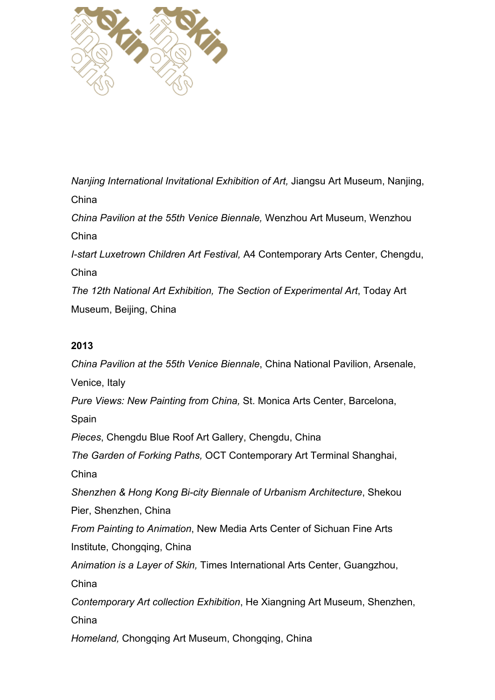

*Nanjing International Invitational Exhibition of Art,* Jiangsu Art Museum, Nanjing, China *China Pavilion at the 55th Venice Biennale,* Wenzhou Art Museum, Wenzhou China *I-start Luxetrown Children Art Festival,* A4 Contemporary Arts Center, Chengdu, China *The 12th National Art Exhibition, The Section of Experimental Art*, Today Art Museum, Beijing, China

### **2013**

*China Pavilion at the 55th Venice Biennale*, China National Pavilion, Arsenale, Venice, Italy *Pure Views: New Painting from China,* St. Monica Arts Center, Barcelona, Spain *Pieces*, Chengdu Blue Roof Art Gallery, Chengdu, China *The Garden of Forking Paths,* OCT Contemporary Art Terminal Shanghai, China *Shenzhen & Hong Kong Bi-city Biennale of Urbanism Architecture*, Shekou Pier, Shenzhen, China *From Painting to Animation*, New Media Arts Center of Sichuan Fine Arts Institute, Chongqing, China *Animation is a Layer of Skin,* Times International Arts Center, Guangzhou, China *Contemporary Art collection Exhibition*, He Xiangning Art Museum, Shenzhen, China *Homeland,* Chongqing Art Museum, Chongqing, China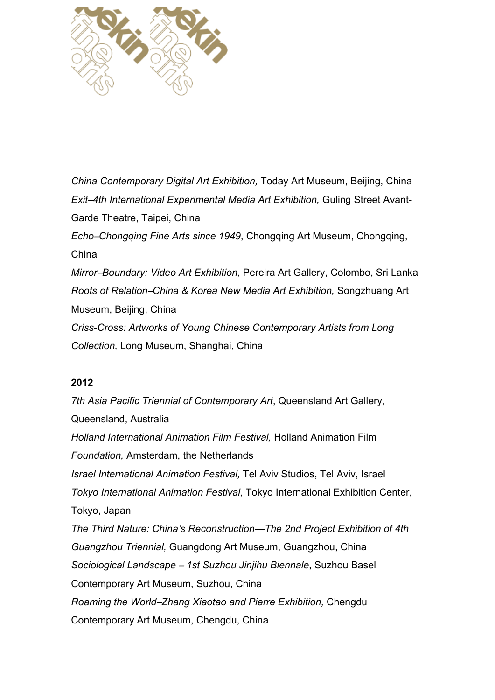

*China Contemporary Digital Art Exhibition,* Today Art Museum, Beijing, China *Exit*–*4th International Experimental Media Art Exhibition,* Guling Street Avant-Garde Theatre, Taipei, China *Echo*–*Chongqing Fine Arts since 1949*, Chongqing Art Museum, Chongqing, China *Mirror*–*Boundary: Video Art Exhibition,* Pereira Art Gallery, Colombo, Sri Lanka *Roots of Relation*–*China & Korea New Media Art Exhibition,* Songzhuang Art Museum, Beijing, China *Criss-Cross: Artworks of Young Chinese Contemporary Artists from Long Collection,* Long Museum, Shanghai, China

#### **2012**

*7th Asia Pacific Triennial of Contemporary Art*, Queensland Art Gallery, Queensland, Australia *Holland International Animation Film Festival,* Holland Animation Film *Foundation,* Amsterdam, the Netherlands *Israel International Animation Festival,* Tel Aviv Studios, Tel Aviv, Israel *Tokyo International Animation Festival,* Tokyo International Exhibition Center, Tokyo, Japan *The Third Nature: China*'*s Reconstruction*—*The 2nd Project Exhibition of 4th Guangzhou Triennial,* Guangdong Art Museum, Guangzhou, China *Sociological Landscape* – *1st Suzhou Jinjihu Biennale*, Suzhou Basel Contemporary Art Museum, Suzhou, China *Roaming the World*–*Zhang Xiaotao and Pierre Exhibition,* Chengdu Contemporary Art Museum, Chengdu, China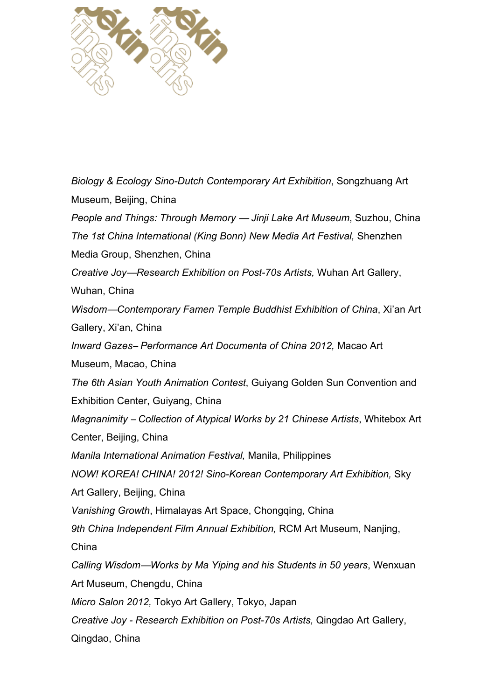

*Biology & Ecology Sino-Dutch Contemporary Art Exhibition*, Songzhuang Art Museum, Beijing, China *People and Things: Through Memory* — *Jinji Lake Art Museum*, Suzhou, China *The 1st China International (King Bonn) New Media Art Festival,* Shenzhen Media Group, Shenzhen, China *Creative Joy*—*Research Exhibition on Post-70s Artists,* Wuhan Art Gallery, Wuhan, China *Wisdom*—*Contemporary Famen Temple Buddhist Exhibition of China*, Xi'an Art Gallery, Xi'an, China *Inward Gazes*– *Performance Art Documenta of China 2012,* Macao Art Museum, Macao, China *The 6th Asian Youth Animation Contest*, Guiyang Golden Sun Convention and Exhibition Center, Guiyang, China *Magnanimity* – *Collection of Atypical Works by 21 Chinese Artists*, Whitebox Art Center, Beijing, China *Manila International Animation Festival,* Manila, Philippines *NOW! KOREA! CHINA! 2012! Sino-Korean Contemporary Art Exhibition,* Sky Art Gallery, Beijing, China *Vanishing Growth*, Himalayas Art Space, Chongqing, China *9th China Independent Film Annual Exhibition,* RCM Art Museum, Nanjing, China *Calling Wisdom*—*Works by Ma Yiping and his Students in 50 years*, Wenxuan Art Museum, Chengdu, China *Micro Salon 2012,* Tokyo Art Gallery, Tokyo, Japan *Creative Joy - Research Exhibition on Post-70s Artists,* Qingdao Art Gallery, Qingdao, China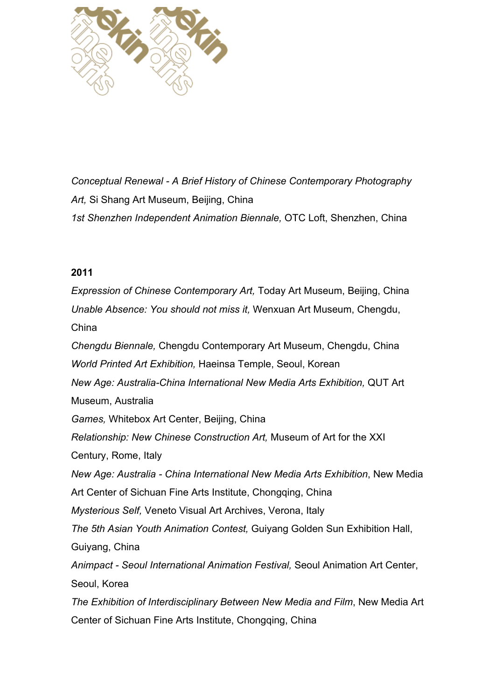

*Conceptual Renewal - A Brief History of Chinese Contemporary Photography Art,* Si Shang Art Museum, Beijing, China *1st Shenzhen Independent Animation Biennale,* OTC Loft, Shenzhen, China

#### **2011**

*Expression of Chinese Contemporary Art,* Today Art Museum, Beijing, China *Unable Absence: You should not miss it,* Wenxuan Art Museum, Chengdu, China *Chengdu Biennale,* Chengdu Contemporary Art Museum, Chengdu, China *World Printed Art Exhibition,* Haeinsa Temple, Seoul, Korean *New Age: Australia-China International New Media Arts Exhibition,* QUT Art Museum, Australia *Games,* Whitebox Art Center, Beijing, China *Relationship: New Chinese Construction Art,* Museum of Art for the XXI Century, Rome, Italy *New Age: Australia - China International New Media Arts Exhibition*, New Media Art Center of Sichuan Fine Arts Institute, Chongqing, China *Mysterious Self,* Veneto Visual Art Archives, Verona, Italy *The 5th Asian Youth Animation Contest,* Guiyang Golden Sun Exhibition Hall, Guiyang, China *Animpact - Seoul International Animation Festival,* Seoul Animation Art Center, Seoul, Korea *The Exhibition of Interdisciplinary Between New Media and Film*, New Media Art

Center of Sichuan Fine Arts Institute, Chongqing, China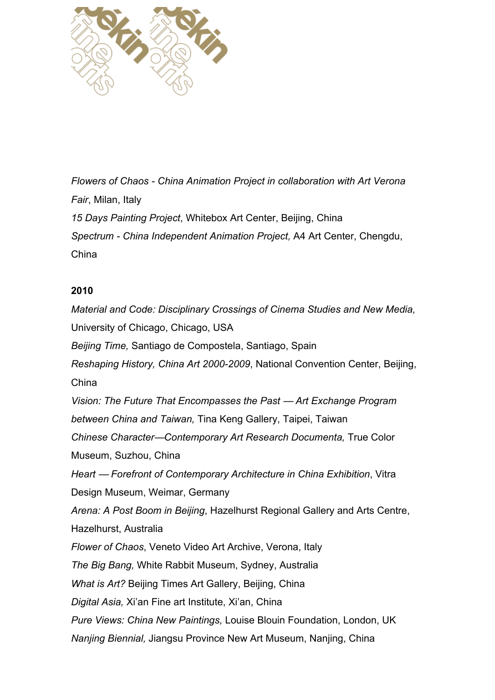

*Flowers of Chaos - China Animation Project in collaboration with Art Verona Fair*, Milan, Italy *15 Days Painting Project*, Whitebox Art Center, Beijing, China *Spectrum - China Independent Animation Project,* A4 Art Center, Chengdu, China

#### **2010**

*Material and Code: Disciplinary Crossings of Cinema Studies and New Media,* University of Chicago, Chicago, USA *Beijing Time,* Santiago de Compostela, Santiago, Spain *Reshaping History, China Art 2000-2009*, National Convention Center, Beijing, China *Vision: The Future That Encompasses the Past* — *Art Exchange Program between China and Taiwan,* Tina Keng Gallery, Taipei, Taiwan *Chinese Character*—*Contemporary Art Research Documenta,* True Color Museum, Suzhou, China *Heart* — *Forefront of Contemporary Architecture in China Exhibition*, Vitra Design Museum, Weimar, Germany *Arena: A Post Boom in Beijing*, Hazelhurst Regional Gallery and Arts Centre, Hazelhurst, Australia *Flower of Chaos*, Veneto Video Art Archive, Verona, Italy *The Big Bang,* White Rabbit Museum, Sydney, Australia *What is Art?* Beijing Times Art Gallery, Beijing, China *Digital Asia,* Xi'an Fine art Institute, Xi'an, China *Pure Views: China New Paintings,* Louise Blouin Foundation, London, UK *Nanjing Biennial,* Jiangsu Province New Art Museum, Nanjing, China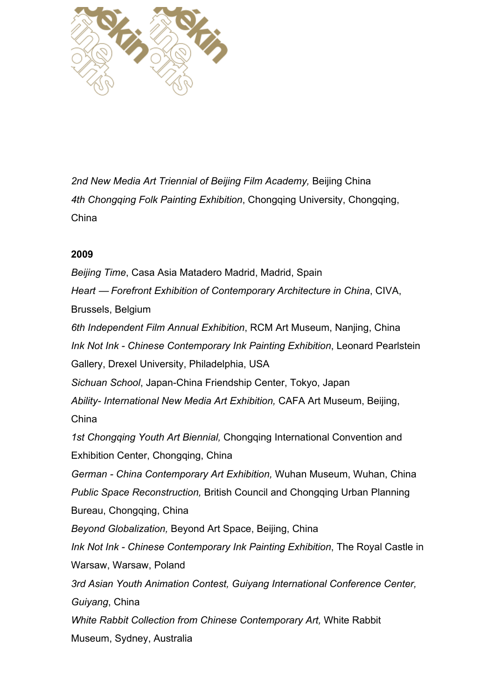

*2nd New Media Art Triennial of Beijing Film Academy,* Beijing China *4th Chongqing Folk Painting Exhibition*, Chongqing University, Chongqing, China

#### **2009**

*Beijing Time*, Casa Asia Matadero Madrid, Madrid, Spain *Heart* — *Forefront Exhibition of Contemporary Architecture in China*, CIVA, Brussels, Belgium *6th Independent Film Annual Exhibition*, RCM Art Museum, Nanjing, China *Ink Not Ink - Chinese Contemporary Ink Painting Exhibition*, Leonard Pearlstein Gallery, Drexel University, Philadelphia, USA *Sichuan School*, Japan-China Friendship Center, Tokyo, Japan *Ability- International New Media Art Exhibition,* CAFA Art Museum, Beijing, China *1st Chongqing Youth Art Biennial,* Chongqing International Convention and Exhibition Center, Chongqing, China *German - China Contemporary Art Exhibition,* Wuhan Museum, Wuhan, China *Public Space Reconstruction,* British Council and Chongqing Urban Planning Bureau, Chongqing, China *Beyond Globalization,* Beyond Art Space, Beijing, China *Ink Not Ink - Chinese Contemporary Ink Painting Exhibition*, The Royal Castle in Warsaw, Warsaw, Poland *3rd Asian Youth Animation Contest, Guiyang International Conference Center, Guiyang*, China *White Rabbit Collection from Chinese Contemporary Art,* White Rabbit Museum, Sydney, Australia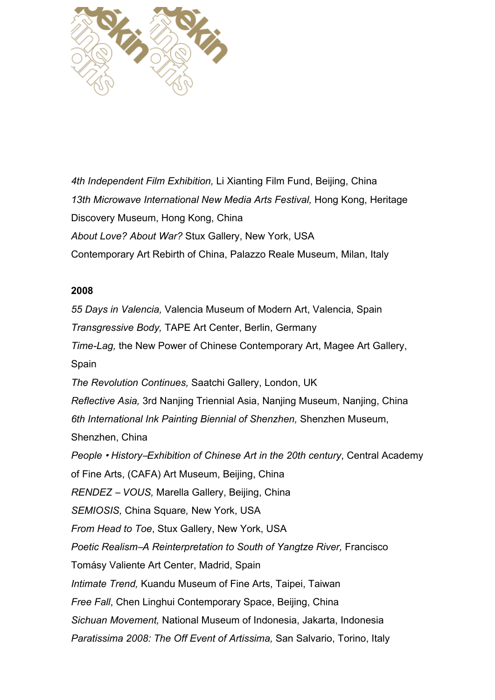

*4th Independent Film Exhibition,* Li Xianting Film Fund, Beijing, China *13th Microwave International New Media Arts Festival,* Hong Kong, Heritage Discovery Museum, Hong Kong, China *About Love? About War?* Stux Gallery, New York, USA Contemporary Art Rebirth of China, Palazzo Reale Museum, Milan, Italy

#### **2008**

*55 Days in Valencia,* Valencia Museum of Modern Art, Valencia, Spain *Transgressive Body,* TAPE Art Center, Berlin, Germany *Time-Lag,* the New Power of Chinese Contemporary Art, Magee Art Gallery, Spain *The Revolution Continues,* Saatchi Gallery, London, UK *Reflective Asia,* 3rd Nanjing Triennial Asia, Nanjing Museum, Nanjing, China *6th International Ink Painting Biennial of Shenzhen,* Shenzhen Museum, Shenzhen, China *People* • *History*–*Exhibition of Chinese Art in the 20th century*, Central Academy of Fine Arts, (CAFA) Art Museum, Beijing, China *RENDEZ* – *VOUS,* Marella Gallery, Beijing, China *SEMIOSIS,* China Square*,* New York, USA *From Head to Toe*, Stux Gallery, New York, USA *Poetic Realism*–*A Reinterpretation to South of Yangtze River,* Francisco Tomásy Valiente Art Center, Madrid, Spain *Intimate Trend,* Kuandu Museum of Fine Arts, Taipei, Taiwan *Free Fall*, Chen Linghui Contemporary Space, Beijing, China *Sichuan Movement,* National Museum of Indonesia, Jakarta, Indonesia *Paratissima 2008: The Off Event of Artissima,* San Salvario, Torino, Italy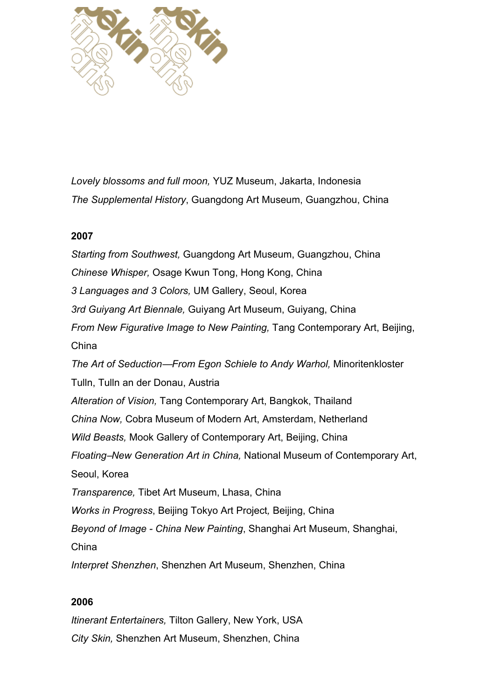

*Lovely blossoms and full moon,* YUZ Museum, Jakarta, Indonesia *The Supplemental History*, Guangdong Art Museum, Guangzhou, China

#### **2007**

*Starting from Southwest,* Guangdong Art Museum, Guangzhou, China *Chinese Whisper,* Osage Kwun Tong, Hong Kong, China *3 Languages and 3 Colors,* UM Gallery, Seoul, Korea *3rd Guiyang Art Biennale,* Guiyang Art Museum, Guiyang, China *From New Figurative Image to New Painting,* Tang Contemporary Art, Beijing, China *The Art of Seduction*—*From Egon Schiele to Andy Warhol,* Minoritenkloster Tulln, Tulln an der Donau, Austria *Alteration of Vision,* Tang Contemporary Art, Bangkok, Thailand *China Now,* Cobra Museum of Modern Art, Amsterdam, Netherland *Wild Beasts,* Mook Gallery of Contemporary Art, Beijing, China *Floating*–*New Generation Art in China,* National Museum of Contemporary Art, Seoul, Korea *Transparence,* Tibet Art Museum, Lhasa, China *Works in Progress*, Beijing Tokyo Art Project*,* Beijing, China *Beyond of Image - China New Painting*, Shanghai Art Museum, Shanghai, China *Interpret Shenzhen*, Shenzhen Art Museum, Shenzhen, China

#### **2006**

*Itinerant Entertainers,* Tilton Gallery, New York, USA *City Skin,* Shenzhen Art Museum, Shenzhen, China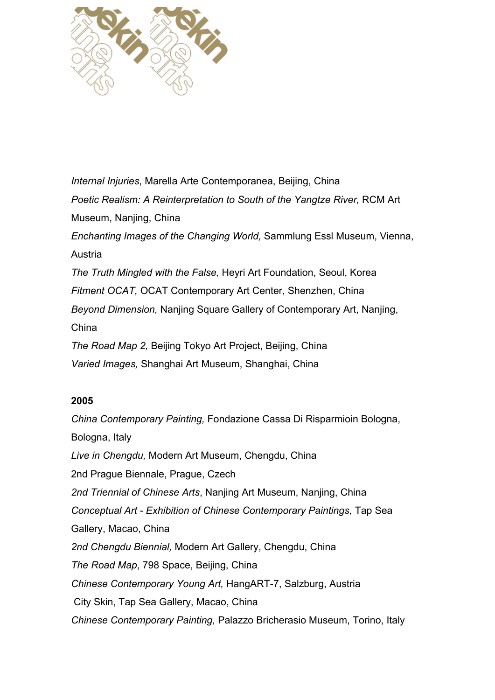

*Internal Injuries*, Marella Arte Contemporanea, Beijing, China *Poetic Realism: A Reinterpretation to South of the Yangtze River,* RCM Art Museum, Nanjing, China *Enchanting Images of the Changing World,* Sammlung Essl Museum, Vienna, Austria *The Truth Mingled with the False,* Heyri Art Foundation, Seoul, Korea *Fitment OCAT,* OCAT Contemporary Art Center, Shenzhen, China *Beyond Dimension,* Nanjing Square Gallery of Contemporary Art, Nanjing, China *The Road Map 2,* Beijing Tokyo Art Project, Beijing, China *Varied Images,* Shanghai Art Museum, Shanghai, China

#### **2005**

*China Contemporary Painting,* Fondazione Cassa Di Risparmioin Bologna, Bologna, Italy *Live in Chengdu,* Modern Art Museum, Chengdu, China 2nd Prague Biennale, Prague, Czech *2nd Triennial of Chinese Arts*, Nanjing Art Museum, Nanjing, China *Conceptual Art - Exhibition of Chinese Contemporary Paintings,* Tap Sea Gallery, Macao, China *2nd Chengdu Biennial,* Modern Art Gallery, Chengdu, China *The Road Map*, 798 Space, Beijing, China *Chinese Contemporary Young Art,* HangART-7, Salzburg, Austria City Skin, Tap Sea Gallery, Macao, China *Chinese Contemporary Painting,* Palazzo Bricherasio Museum, Torino, Italy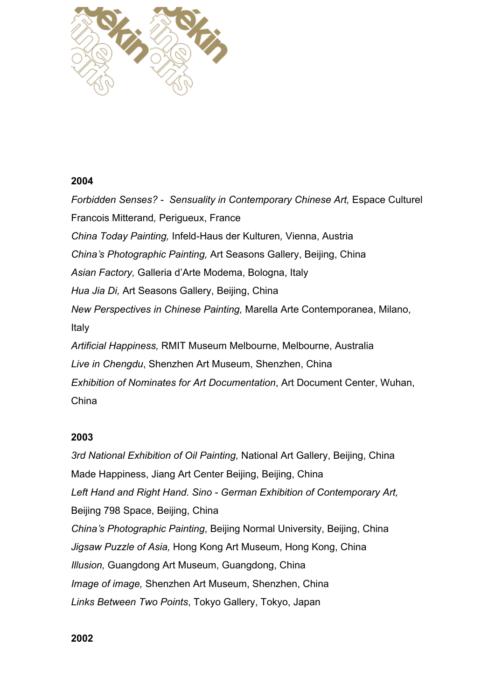

#### **2004**

*Forbidden Senses? - Sensuality in Contemporary Chinese Art,* Espace Culturel Francois Mitterand*,* Perigueux, France *China Today Painting,* Infeld-Haus der Kulturen*,* Vienna, Austria *China*'*s Photographic Painting,* Art Seasons Gallery, Beijing, China *Asian Factory,* Galleria d'Arte Modema, Bologna, Italy *Hua Jia Di,* Art Seasons Gallery, Beijing, China *New Perspectives in Chinese Painting,* Marella Arte Contemporanea, Milano, Italy *Artificial Happiness,* RMIT Museum Melbourne, Melbourne, Australia *Live in Chengdu*, Shenzhen Art Museum, Shenzhen, China *Exhibition of Nominates for Art Documentation*, Art Document Center, Wuhan, China

#### **2003**

*3rd National Exhibition of Oil Painting,* National Art Gallery, Beijing, China Made Happiness, Jiang Art Center Beijing, Beijing, China *Left Hand and Right Hand. Sino - German Exhibition of Contemporary Art,* Beijing 798 Space, Beijing, China *China*'*s Photographic Painting*, Beijing Normal University, Beijing, China *Jigsaw Puzzle of Asia,* Hong Kong Art Museum, Hong Kong, China *Illusion,* Guangdong Art Museum, Guangdong, China *Image of image,* Shenzhen Art Museum, Shenzhen, China *Links Between Two Points*, Tokyo Gallery, Tokyo, Japan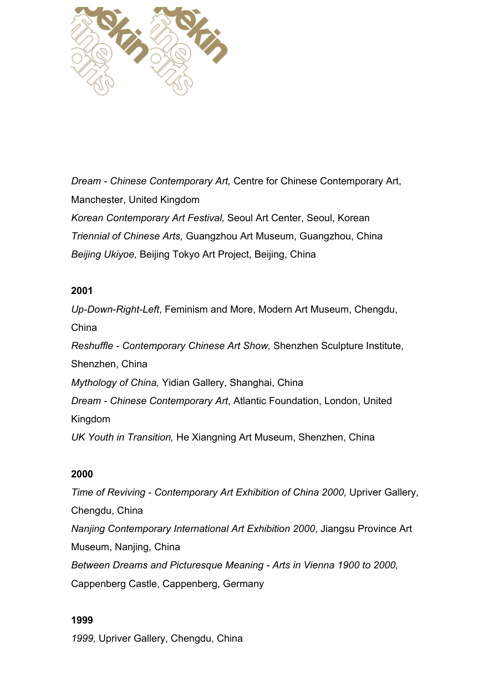

*Dream - Chinese Contemporary Art,* Centre for Chinese Contemporary Art, Manchester, United Kingdom *Korean Contemporary Art Festival,* Seoul Art Center, Seoul, Korean *Triennial of Chinese Arts,* Guangzhou Art Museum, Guangzhou, China *Beijing Ukiyoe,* Beijing Tokyo Art Project, Beijing, China

#### **2001**

*Up-Down-Right-Left*, Feminism and More, Modern Art Museum, Chengdu, China *Reshuffle - Contemporary Chinese Art Show,* Shenzhen Sculpture Institute, Shenzhen, China *Mythology of China,* Yidian Gallery, Shanghai, China *Dream - Chinese Contemporary Art*, Atlantic Foundation, London, United Kingdom *UK Youth in Transition,* He Xiangning Art Museum, Shenzhen, China

#### **2000**

*Time of Reviving - Contemporary Art Exhibition of China 2000,* Upriver Gallery, Chengdu, China *Nanjing Contemporary International Art Exhibition 2000*, Jiangsu Province Art Museum, Nanjing, China *Between Dreams and Picturesque Meaning - Arts in Vienna 1900 to 2000,* Cappenberg Castle, Cappenberg, Germany

#### **1999**

*1999,* Upriver Gallery, Chengdu, China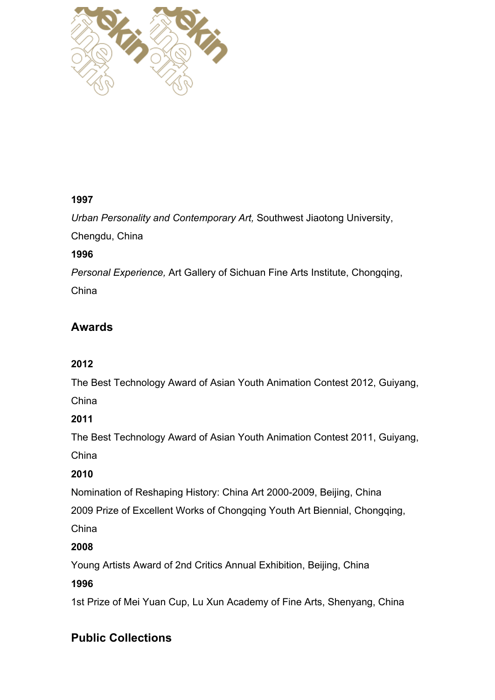

# **1997**

*Urban Personality and Contemporary Art,* Southwest Jiaotong University,

Chengdu, China

# **1996**

*Personal Experience,* Art Gallery of Sichuan Fine Arts Institute, Chongqing, China

# **Awards**

# **2012**

The Best Technology Award of Asian Youth Animation Contest 2012, Guiyang, China

# **2011**

The Best Technology Award of Asian Youth Animation Contest 2011, Guiyang, China

# **2010**

Nomination of Reshaping History: China Art 2000-2009, Beijing, China

2009 Prize of Excellent Works of Chongqing Youth Art Biennial, Chongqing,

China

# **2008**

Young Artists Award of 2nd Critics Annual Exhibition, Beijing, China

# **1996**

1st Prize of Mei Yuan Cup, Lu Xun Academy of Fine Arts, Shenyang, China

# **Public Collections**